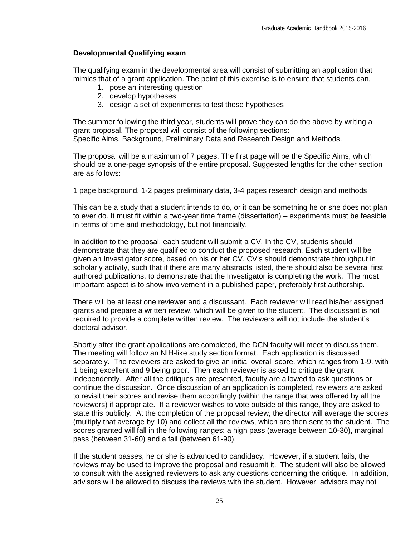## **Developmental Qualifying exam**

The qualifying exam in the developmental area will consist of submitting an application that mimics that of a grant application. The point of this exercise is to ensure that students can,

- 1. pose an interesting question
- 2. develop hypotheses
- 3. design a set of experiments to test those hypotheses

The summer following the third year, students will prove they can do the above by writing a grant proposal. The proposal will consist of the following sections: Specific Aims, Background, Preliminary Data and Research Design and Methods.

The proposal will be a maximum of 7 pages. The first page will be the Specific Aims, which should be a one-page synopsis of the entire proposal. Suggested lengths for the other section are as follows:

1 page background, 1-2 pages preliminary data, 3-4 pages research design and methods

This can be a study that a student intends to do, or it can be something he or she does not plan to ever do. It must fit within a two-year time frame (dissertation) – experiments must be feasible in terms of time and methodology, but not financially.

In addition to the proposal, each student will submit a CV. In the CV, students should demonstrate that they are qualified to conduct the proposed research. Each student will be given an Investigator score, based on his or her CV. CV's should demonstrate throughput in scholarly activity, such that if there are many abstracts listed, there should also be several first authored publications, to demonstrate that the Investigator is completing the work. The most important aspect is to show involvement in a published paper, preferably first authorship.

There will be at least one reviewer and a discussant. Each reviewer will read his/her assigned grants and prepare a written review, which will be given to the student. The discussant is not required to provide a complete written review. The reviewers will not include the student's doctoral advisor.

Shortly after the grant applications are completed, the DCN faculty will meet to discuss them. The meeting will follow an NIH-like study section format. Each application is discussed separately. The reviewers are asked to give an initial overall score, which ranges from 1-9, with 1 being excellent and 9 being poor. Then each reviewer is asked to critique the grant independently. After all the critiques are presented, faculty are allowed to ask questions or continue the discussion. Once discussion of an application is completed, reviewers are asked to revisit their scores and revise them accordingly (within the range that was offered by all the reviewers) if appropriate. If a reviewer wishes to vote outside of this range, they are asked to state this publicly. At the completion of the proposal review, the director will average the scores (multiply that average by 10) and collect all the reviews, which are then sent to the student. The scores granted will fall in the following ranges: a high pass (average between 10-30), marginal pass (between 31-60) and a fail (between 61-90).

If the student passes, he or she is advanced to candidacy. However, if a student fails, the reviews may be used to improve the proposal and resubmit it. The student will also be allowed to consult with the assigned reviewers to ask any questions concerning the critique. In addition, advisors will be allowed to discuss the reviews with the student. However, advisors may not